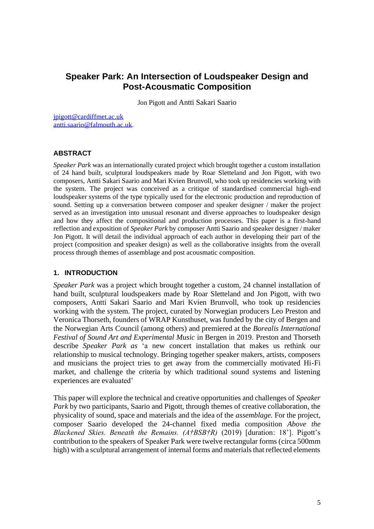# **Speaker Park: An Intersection of Loudspeaker Design and Post-Acousmatic Composition**

Jon Pigott and Antti Sakari Saario

[jpigott@cardiffmet.ac.uk](mailto:jpigott@cardiffmet.ac.uk)  [antti.saario@falmouth.ac.uk.](mailto:antti.saario@falmouth.ac.uk)

## **ABSTRACT**

*Speaker Park* was an internationally curated project which brought together a custom installation of 24 hand built, sculptural loudspeakers made by Roar Sletteland and Jon Pigott, with two composers, Antti Sakari Saario and Mari Kvien Brunvoll, who took up residencies working with the system. The project was conceived as a critique of standardised commercial high-end loudspeaker systems of the type typically used for the electronic production and reproduction of sound. Setting up a conversation between composer and speaker designer / maker the project served as an investigation into unusual resonant and diverse approaches to loudspeaker design and how they affect the compositional and production processes. This paper is a first-hand reflection and exposition of *Speaker Park* by composer Antti Saario and speaker designer / maker Jon Pigott. It will detail the individual approach of each author in developing their part of the project (composition and speaker design) as well as the collaborative insights from the overall process through themes of assemblage and post acousmatic composition.

#### **1. INTRODUCTION**

*Speaker Park* was a project which brought together a custom, 24 channel installation of hand built, sculptural loudspeakers made by Roar Sletteland and Jon Pigott, with two composers, Antti Sakari Saario and Mari Kvien Brunvoll, who took up residencies working with the system. The project, curated by Norwegian producers Leo Preston and Veronica Thorseth, founders of WRAP Kunsthuset, was funded by the city of Bergen and the Norwegian Arts Council (among others) and premiered at the *Borealis International Festival of Sound Art and Experimental Music* in Bergen in 2019. Preston and Thorseth describe *Speaker Park as* 'a new concert installation that makes us rethink our relationship to musical technology. Bringing together speaker makers, artists, composers and musicians the project tries to get away from the commercially motivated Hi-Fi market, and challenge the criteria by which traditional sound systems and listening experiences are evaluated'

This paper will explore the technical and creative opportunities and challenges of *Speaker Park* by two participants, Saario and Pigott, through themes of creative collaboration, the physicality of sound, space and materials and the idea of the *assemblage.* For the project, composer Saario developed the 24-channel fixed media composition *Above the Blackened Skies. Beneath the Remains. (A†BSB†R)* (2019) [duration: 18']. Pigott's contribution to the speakers of Speaker Park were twelve rectangular forms (circa 500mm high) with a sculptural arrangement of internal forms and materials that reflected elements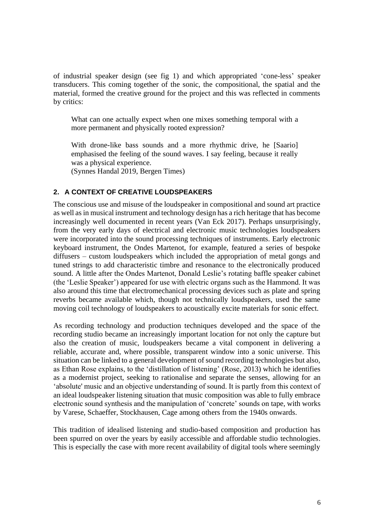of industrial speaker design (see fig 1) and which appropriated 'cone-less' speaker transducers. This coming together of the sonic, the compositional, the spatial and the material, formed the creative ground for the project and this was reflected in comments by critics:

What can one actually expect when one mixes something temporal with a more permanent and physically rooted expression?

With drone-like bass sounds and a more rhythmic drive, he [Saario] emphasised the feeling of the sound waves. I say feeling, because it really was a physical experience.

(Synnes Handal 2019, Bergen Times)

#### **2. A CONTEXT OF CREATIVE LOUDSPEAKERS**

The conscious use and misuse of the loudspeaker in compositional and sound art practice as well as in musical instrument and technology design has a rich heritage that has become increasingly well documented in recent years (Van Eck 2017). Perhaps unsurprisingly, from the very early days of electrical and electronic music technologies loudspeakers were incorporated into the sound processing techniques of instruments. Early electronic keyboard instrument, the Ondes Martenot, for example, featured a series of bespoke diffusers – custom loudspeakers which included the appropriation of metal gongs and tuned strings to add characteristic timbre and resonance to the electronically produced sound. A little after the Ondes Martenot, Donald Leslie's rotating baffle speaker cabinet (the 'Leslie Speaker') appeared for use with electric organs such as the Hammond. It was also around this time that electromechanical processing devices such as plate and spring reverbs became available which, though not technically loudspeakers, used the same moving coil technology of loudspeakers to acoustically excite materials for sonic effect.

As recording technology and production techniques developed and the space of the recording studio became an increasingly important location for not only the capture but also the creation of music, loudspeakers became a vital component in delivering a reliable, accurate and, where possible, transparent window into a sonic universe. This situation can be linked to a general development of sound recording technologies but also, as Ethan Rose explains, to the 'distillation of listening' (Rose, 2013) which he identifies as a modernist project, seeking to rationalise and separate the senses, allowing for an 'absolute' music and an objective understanding of sound. It is partly from this context of an ideal loudspeaker listening situation that music composition was able to fully embrace electronic sound synthesis and the manipulation of 'concrete' sounds on tape, with works by Varese, Schaeffer, Stockhausen, Cage among others from the 1940s onwards.

This tradition of idealised listening and studio-based composition and production has been spurred on over the years by easily accessible and affordable studio technologies. This is especially the case with more recent availability of digital tools where seemingly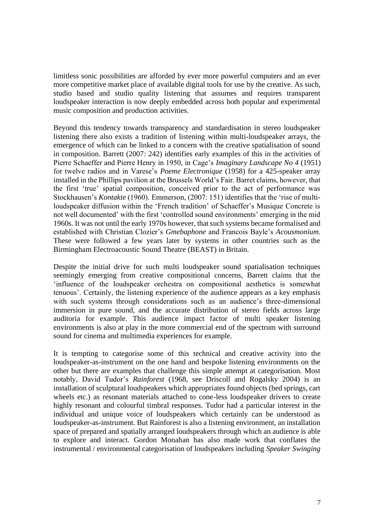limitless sonic possibilities are afforded by ever more powerful computers and an ever more competitive market place of available digital tools for use by the creative. As such, studio based and studio quality listening that assumes and requires transparent loudspeaker interaction is now deeply embedded across both popular and experimental music composition and production activities.

Beyond this tendency towards transparency and standardisation in stereo loudspeaker listening there also exists a tradition of listening within multi-loudspeaker arrays, the emergence of which can be linked to a concern with the creative spatialisation of sound in composition. Barrett (2007: 242) identifies early examples of this in the activities of Pierre Schaeffer and Pierre Henry in 1950, in Cage's *Imaginary Landscape No 4* (1951) for twelve radios and in Varese's *Poeme Electronique* (1958) for a 425-speaker array installed in the Phillips pavilion at the Brussels World's Fair. Barret claims, however, that the first 'true' spatial composition, conceived prior to the act of performance was Stockhausen's *Kontakte* (1960). Emmerson, (2007: 151) identifies that the 'rise of multiloudspeaker diffusion within the 'French tradition' of Schaeffer's Musique Concrete is not well documented' with the first 'controlled sound environments' emerging in the mid 1960s. It was not until the early 1970s however, that such systems became formalised and established with Christian Clozier's *Gmebaphone* and Francois Bayle's *Acousmonium.*  These were followed a few years later by systems in other countries such as the Birmingham Electroacoustic Sound Theatre (BEAST) in Britain.

Despite the initial drive for such multi loudspeaker sound spatialisation techniques seemingly emerging from creative compositional concerns, Barrett claims that the 'influence of the loudspeaker orchestra on compositional aesthetics is somewhat tenuous'. Certainly, the listening experience of the audience appears as a key emphasis with such systems through considerations such as an audience's three-dimensional immersion in pure sound, and the accurate distribution of stereo fields across large auditoria for example. This audience impact factor of multi speaker listening environments is also at play in the more commercial end of the spectrum with surround sound for cinema and multimedia experiences for example.

It is tempting to categorise some of this technical and creative activity into the loudspeaker-as-instrument on the one hand and bespoke listening environments on the other but there are examples that challenge this simple attempt at categorisation. Most notably, David Tudor's *Rainforest* (1968, see Driscoll and Rogalsky 2004) is an installation of sculptural loudspeakers which appropriates found objects (bed springs, cart wheels etc.) as resonant materials attached to cone-less loudspeaker drivers to create highly resonant and colourful timbral responses. Tudor had a particular interest in the individual and unique voice of loudspeakers which certainly can be understood as loudspeaker-as-instrument. But Rainforest is also a listening environment, an installation space of prepared and spatially arranged loudspeakers through which an audience is able to explore and interact. Gordon Monahan has also made work that conflates the instrumental / environmental categorisation of loudspeakers including *Speaker Swinging*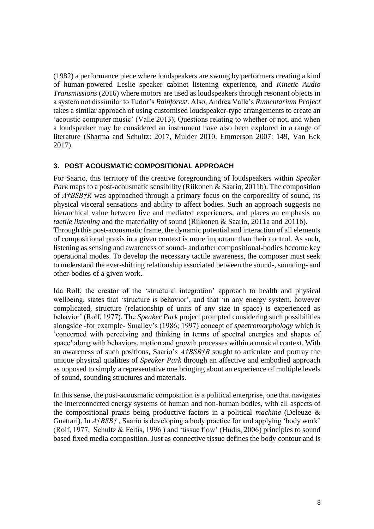(1982) a performance piece where loudspeakers are swung by performers creating a kind of human-powered Leslie speaker cabinet listening experience, and *Kinetic Audio Transmissions* (2016) where motors are used as loudspeakers through resonant objects in a system not dissimilar to Tudor's *Rainforest*. Also, Andrea Valle's *Rumentarium Project* takes a similar approach of using customised loudspeaker-type arrangements to create an 'acoustic computer music' (Valle 2013). Questions relating to whether or not, and when a loudspeaker may be considered an instrument have also been explored in a range of literature (Sharma and Schultz: 2017, Mulder 2010, Emmerson 2007: 149, Van Eck 2017).

## **3. POST ACOUSMATIC COMPOSITIONAL APPROACH**

For Saario, this territory of the creative foregrounding of loudspeakers within *Speaker Park* maps to a post-acousmatic sensibility (Riikonen & Saario, 2011b). The composition of *A†BSB†R* was approached through a primary focus on the corporeality of sound, its physical visceral sensations and ability to affect bodies. Such an approach suggests no hierarchical value between live and mediated experiences, and places an emphasis on *tactile listening* and the materiality of sound (Riikonen & Saario, 2011a and 2011b). Through this post-acousmatic frame, the dynamic potential and interaction of all elements of compositional praxis in a given context is more important than their control. As such, listening as sensing and awareness of sound- and other compositional-bodies become key operational modes. To develop the necessary tactile awareness, the composer must seek to understand the ever-shifting relationship associated between the sound-, sounding- and other-bodies of a given work.

Ida Rolf, the creator of the 'structural integration' approach to health and physical wellbeing, states that 'structure is behavior', and that 'in any energy system, however complicated, structure (relationship of units of any size in space) is experienced as behavior' (Rolf, 1977). The *Speaker Park* project prompted considering such possibilities alongside -for example- Smalley's (1986; 1997) concept of *spectromorphology* which is 'concerned with perceiving and thinking in terms of spectral energies and shapes of space' along with behaviors, motion and growth processes within a musical context. With an awareness of such positions, Saario's *A†BSB†R* sought to articulate and portray the unique physical qualities of *Speaker Park* through an affective and embodied approach as opposed to simply a representative one bringing about an experience of multiple levels of sound, sounding structures and materials.

In this sense, the post-acousmatic composition is a political enterprise, one that navigates the interconnected energy systems of human and non-human bodies, with all aspects of the compositional praxis being productive factors in a political *machine* (Deleuze & Guattari). In *A†BSB†* , Saario is developing a body practice for and applying 'body work' (Rolf, 1977, Schultz & Feitis, 1996 ) and 'tissue flow' (Hudis, 2006) principles to sound based fixed media composition. Just as connective tissue defines the body contour and is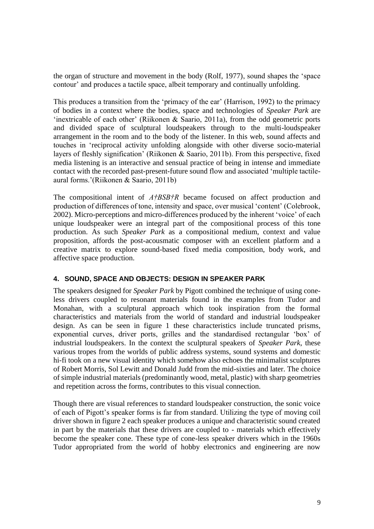the organ of structure and movement in the body (Rolf, 1977), sound shapes the 'space contour' and produces a tactile space, albeit temporary and continually unfolding.

This produces a transition from the 'primacy of the ear' (Harrison, 1992) to the primacy of bodies in a context where the bodies, space and technologies of *Speaker Park* are 'inextricable of each other' (Riikonen & Saario, 2011a), from the odd geometric ports and divided space of sculptural loudspeakers through to the multi-loudspeaker arrangement in the room and to the body of the listener. In this web, sound affects and touches in 'reciprocal activity unfolding alongside with other diverse socio-material layers of fleshly signification' (Riikonen & Saario, 2011b). From this perspective, fixed media listening is an interactive and sensual practice of being in intense and immediate contact with the recorded past-present-future sound flow and associated 'multiple tactileaural forms.'(Riikonen & Saario, 2011b)

The compositional intent of *A†BSB†R* became focused on affect production and production of differences of tone, intensity and space, over musical 'content' (Colebrook, 2002). Micro-perceptions and micro-differences produced by the inherent 'voice' of each unique loudspeaker were an integral part of the compositional process of this tone production. As such *Speaker Park* as a compositional medium, context and value proposition, affords the post-acousmatic composer with an excellent platform and a creative matrix to explore sound-based fixed media composition, body work, and affective space production.

## **4. SOUND, SPACE AND OBJECTS: DESIGN IN SPEAKER PARK**

The speakers designed for *Speaker Park* by Pigott combined the technique of using coneless drivers coupled to resonant materials found in the examples from Tudor and Monahan, with a sculptural approach which took inspiration from the formal characteristics and materials from the world of standard and industrial loudspeaker design. As can be seen in figure 1 these characteristics include truncated prisms, exponential curves, driver ports, grilles and the standardised rectangular 'box' of industrial loudspeakers. In the context the sculptural speakers of *Speaker Park*, these various tropes from the worlds of public address systems, sound systems and domestic hi-fi took on a new visual identity which somehow also echoes the minimalist sculptures of Robert Morris, Sol Lewitt and Donald Judd from the mid-sixties and later. The choice of simple industrial materials (predominantly wood, metal, plastic) with sharp geometries and repetition across the forms, contributes to this visual connection.

Though there are visual references to standard loudspeaker construction, the sonic voice of each of Pigott's speaker forms is far from standard. Utilizing the type of moving coil driver shown in figure 2 each speaker produces a unique and characteristic sound created in part by the materials that these drivers are coupled to - materials which effectively become the speaker cone. These type of cone-less speaker drivers which in the 1960s Tudor appropriated from the world of hobby electronics and engineering are now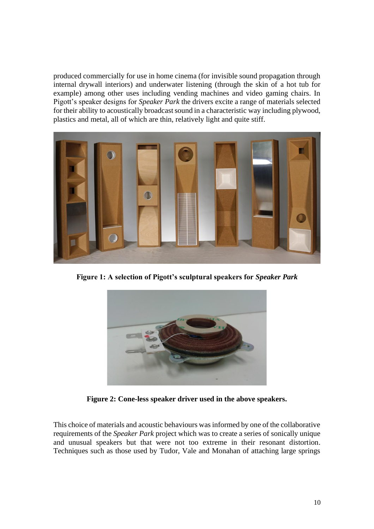produced commercially for use in home cinema (for invisible sound propagation through internal drywall interiors) and underwater listening (through the skin of a hot tub for example) among other uses including vending machines and video gaming chairs. In Pigott's speaker designs for *Speaker Park* the drivers excite a range of materials selected for their ability to acoustically broadcast sound in a characteristic way including plywood, plastics and metal, all of which are thin, relatively light and quite stiff.



**Figure 1: A selection of Pigott's sculptural speakers for** *Speaker Park*



**Figure 2: Cone-less speaker driver used in the above speakers.**

This choice of materials and acoustic behaviours was informed by one of the collaborative requirements of the *Speaker Park* project which was to create a series of sonically unique and unusual speakers but that were not too extreme in their resonant distortion. Techniques such as those used by Tudor, Vale and Monahan of attaching large springs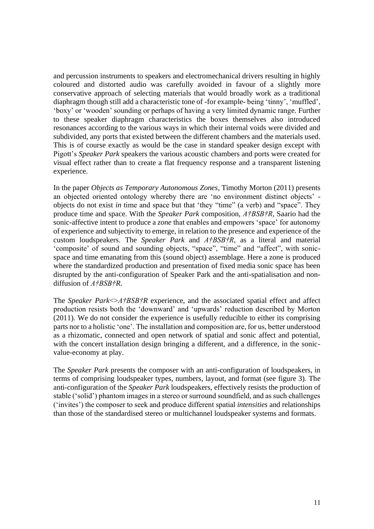and percussion instruments to speakers and electromechanical drivers resulting in highly coloured and distorted audio was carefully avoided in favour of a slightly more conservative approach of selecting materials that would broadly work as a traditional diaphragm though still add a characteristic tone of -for example- being 'tinny', 'muffled', 'boxy' or 'wooden' sounding or perhaps of having a very limited dynamic range. Further to these speaker diaphragm characteristics the boxes themselves also introduced resonances according to the various ways in which their internal voids were divided and subdivided, any ports that existed between the different chambers and the materials used. This is of course exactly as would be the case in standard speaker design except with Pigott's *Speaker Park* speakers the various acoustic chambers and ports were created for visual effect rather than to create a flat frequency response and a transparent listening experience.

In the paper *Objects as Temporary Autonomous Zones*, Timothy Morton (2011) presents an objected oriented ontology whereby there are 'no environment distinct objects' objects do not exist *in* time and space but that 'they "time" (a verb) and "space". They produce time and space. With the *Speaker Park* composition, *A†BSB†R,* Saario had the sonic-affective intent to produce a *zone* that enables and empowers 'space' for autonomy of experience and subjectivity to emerge, in relation to the presence and experience of the custom loudspeakers. The *Speaker Park* and *A†BSB†R*, as a literal and material 'composite' of sound and sounding objects, "space", "time" and "affect", with sonicspace and time emanating from this (sound object) assemblage. Here a zone is produced where the standardized production and presentation of fixed media sonic space has been disrupted by the anti-configuration of Speaker Park and the anti-spatialisation and nondiffusion of *A†BSB†R*.

The *Speaker Park* $\leq$ *A†BSB†R* experience, and the associated spatial effect and affect production resists both the 'downward' and 'upwards' reduction described by Morton (2011). We do not consider the experience is usefully reducible to either its comprising parts nor to a holistic 'one'. The installation and composition are, for us, better understood as a rhizomatic, connected and open network of spatial and sonic affect and potential, with the concert installation design bringing a different, and a difference, in the sonicvalue-economy at play.

The *Speaker Park* presents the composer with an anti-configuration of loudspeakers, in terms of comprising loudspeaker types, numbers, layout, and format (see figure 3). The anti-configuration of the *Speaker Park* loudspeakers, effectively resists the production of stable ('solid') phantom images in a stereo or surround soundfield, and as such challenges ('invites') the composer to seek and produce different spatial *intensities* and relationships than those of the standardised stereo or multichannel loudspeaker systems and formats.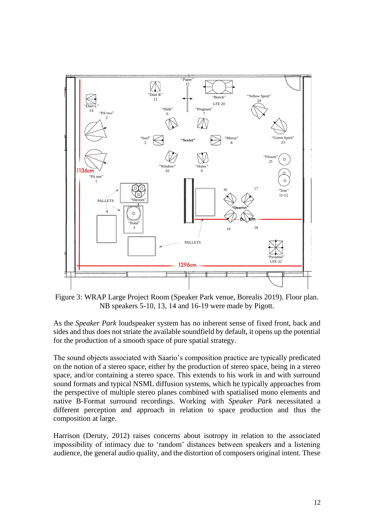

Figure 3: WRAP Large Project Room (Speaker Park venue, Borealis 2019). Floor plan. NB speakers 5-10, 13, 14 and 16-19 were made by Pigott.

As the *Speaker Park* loudspeaker system has no inherent sense of fixed front, back and sides and thus does not striate the available soundfield by default, it opens up the potential for the production of a smooth space of pure spatial strategy.

The sound objects associated with Saario's composition practice are typically predicated on the notion of a stereo space, either by the production of stereo space, being in a stereo space, and/or containing a stereo space. This extends to his work in and with surround sound formats and typical NSML diffusion systems, which he typically approaches from the perspective of multiple stereo planes combined with spatialised mono elements and native B-Format surround recordings. Working with *Speaker Park* necessitated a different perception and approach in relation to space production and thus the composition at large.

Harrison (Deruty, 2012) raises concerns about isotropy in relation to the associated impossibility of intimacy due to 'random' distances between speakers and a listening audience, the general audio quality, and the distortion of composers original intent. These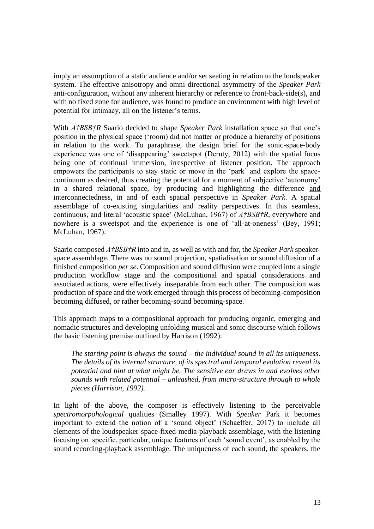imply an assumption of a static audience and/or set seating in relation to the loudspeaker system. The effective anisotropy and omni-directional asymmetry of the *Speaker Park* anti-configuration, without any inherent hierarchy or reference to front-back-side(s), and with no fixed zone for audience, was found to produce an environment with high level of potential for intimacy, all on the listener's terms.

With *A†BSB†R* Saario decided to shape *Speaker Park* installation space so that one's position in the physical space ('room) did not matter or produce a hierarchy of positions in relation to the work. To paraphrase, the design brief for the sonic-space-body experience was one of 'disappearing' sweetspot (Deruty, 2012) with the spatial focus being one of continual immersion, irrespective of listener position. The approach empowers the participants to stay static or move in the 'park' and explore the spacecontinuum as desired, thus creating the potential for a moment of subjective 'autonomy' in a shared relational space, by producing and highlighting the difference and interconnectedness, in and of each spatial perspective in *Speaker Park*. A spatial assemblage of co-existing singularities and reality perspectives. In this seamless, continuous, and literal 'acoustic space' (McLuhan, 1967) of *A†BSB†R*, everywhere and nowhere is a sweetspot and the experience is one of 'all-at-oneness' (Bey, 1991; McLuhan, 1967).

Saario composed *A†BSB†R* into and in, as well as with and for, the *Speaker Park* speakerspace assemblage. There was no sound projection, spatialisation or sound diffusion of a finished composition *per se*. Composition and sound diffusion were coupled into a single production workflow stage and the compositional and spatial considerations and associated actions, were effectively inseparable from each other. The composition was production of space and the work emerged through this process of becoming-composition becoming diffused, or rather becoming-sound becoming-space.

This approach maps to a compositional approach for producing organic, emerging and nomadic structures and developing unfolding musical and sonic discourse which follows the basic listening premise outlined by Harrison (1992):

*The starting point is always the sound – the individual sound in all its uniqueness. The details of its internal structure, of its spectral and temporal evolution reveal its potential and hint at what might be. The sensitive ear draws in and evolves other sounds with related potential – unleashed, from micro-structure through to whole pieces (Harrison, 1992).*

In light of the above, the composer is effectively listening to the perceivable *spectromorpohological* qualities (Smalley 1997). With *Speaker* Park it becomes important to extend the notion of a 'sound object' (Schaeffer, 2017) to include all elements of the loudspeaker-space-fixed-media-playback assemblage, with the listening focusing on specific, particular, unique features of each 'sound event', as enabled by the sound recording-playback assemblage. The uniqueness of each sound, the speakers, the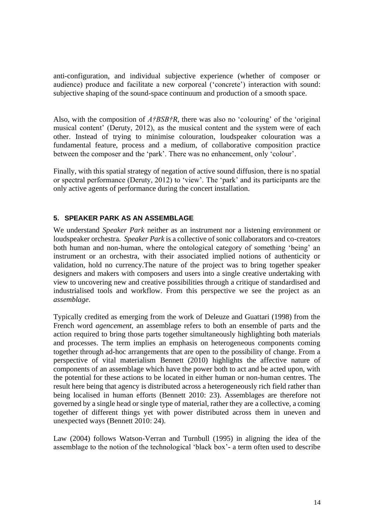anti-configuration, and individual subjective experience (whether of composer or audience) produce and facilitate a new corporeal ('concrete') interaction with sound: subjective shaping of the sound-space continuum and production of a smooth space.

Also, with the composition of *A†BSB†R*, there was also no 'colouring' of the 'original musical content' (Deruty, 2012), as the musical content and the system were of each other. Instead of trying to minimise colouration, loudspeaker colouration was a fundamental feature, process and a medium, of collaborative composition practice between the composer and the 'park'. There was no enhancement, only 'colour'.

Finally, with this spatial strategy of negation of active sound diffusion, there is no spatial or spectral performance (Deruty, 2012) to 'view'. The 'park' and its participants are the only active agents of performance during the concert installation.

#### **5. SPEAKER PARK AS AN ASSEMBLAGE**

We understand *Speaker Park* neither as an instrument nor a listening environment or loudspeaker orchestra. *Speaker Park* is a collective of sonic collaborators and co-creators both human and non-human, where the ontological category of something 'being' an instrument or an orchestra, with their associated implied notions of authenticity or validation, hold no currency.The nature of the project was to bring together speaker designers and makers with composers and users into a single creative undertaking with view to uncovering new and creative possibilities through a critique of standardised and industrialised tools and workflow. From this perspective we see the project as an *assemblage*.

Typically credited as emerging from the work of Deleuze and Guattari (1998) from the French word *agencement,* an assemblage refers to both an ensemble of parts and the action required to bring those parts together simultaneously highlighting both materials and processes. The term implies an emphasis on heterogeneous components coming together through ad-hoc arrangements that are open to the possibility of change. From a perspective of vital materialism Bennett (2010) highlights the affective nature of components of an assemblage which have the power both to act and be acted upon, with the potential for these actions to be located in either human or non-human centres. The result here being that agency is distributed across a heterogeneously rich field rather than being localised in human efforts (Bennett 2010: 23). Assemblages are therefore not governed by a single head or single type of material, rather they are a collective, a coming together of different things yet with power distributed across them in uneven and unexpected ways (Bennett 2010: 24).

Law (2004) follows Watson-Verran and Turnbull (1995) in aligning the idea of the assemblage to the notion of the technological 'black box'- a term often used to describe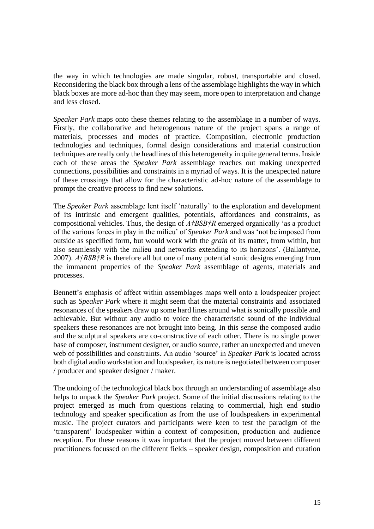the way in which technologies are made singular, robust, transportable and closed. Reconsidering the black box through a lens of the assemblage highlights the way in which black boxes are more ad-hoc than they may seem, more open to interpretation and change and less closed.

*Speaker Park* maps onto these themes relating to the assemblage in a number of ways. Firstly, the collaborative and heterogenous nature of the project spans a range of materials, processes and modes of practice. Composition, electronic production technologies and techniques, formal design considerations and material construction techniques are really only the headlines of this heterogeneity in quite general terms. Inside each of these areas the *Speaker Park* assemblage reaches out making unexpected connections, possibilities and constraints in a myriad of ways. It is the unexpected nature of these crossings that allow for the characteristic ad-hoc nature of the assemblage to prompt the creative process to find new solutions.

The *Speaker Park* assemblage lent itself 'naturally' to the exploration and development of its intrinsic and emergent qualities, potentials, affordances and constraints, as compositional vehicles. Thus, the design of *A†BSB†R* emerged organically 'as a product of the various forces in play in the milieu' of *Speaker Park* and was 'not be imposed from outside as specified form, but would work with the *grain* of its matter, from within, but also seamlessly with the milieu and networks extending to its horizons'. (Ballantyne, 2007). *A†BSB†R* is therefore all but one of many potential sonic designs emerging from the immanent properties of the *Speaker Park* assemblage of agents, materials and processes.

Bennett's emphasis of affect within assemblages maps well onto a loudspeaker project such as *Speaker Park* where it might seem that the material constraints and associated resonances of the speakers draw up some hard lines around what is sonically possible and achievable. But without any audio to voice the characteristic sound of the individual speakers these resonances are not brought into being. In this sense the composed audio and the sculptural speakers are co-constructive of each other. There is no single power base of composer, instrument designer, or audio source, rather an unexpected and uneven web of possibilities and constraints. An audio 'source' in *Speaker Park* is located across both digital audio workstation and loudspeaker, its nature is negotiated between composer / producer and speaker designer / maker.

The undoing of the technological black box through an understanding of assemblage also helps to unpack the *Speaker Park* project. Some of the initial discussions relating to the project emerged as much from questions relating to commercial, high end studio technology and speaker specification as from the use of loudspeakers in experimental music. The project curators and participants were keen to test the paradigm of the 'transparent' loudspeaker within a context of composition, production and audience reception. For these reasons it was important that the project moved between different practitioners focussed on the different fields – speaker design, composition and curation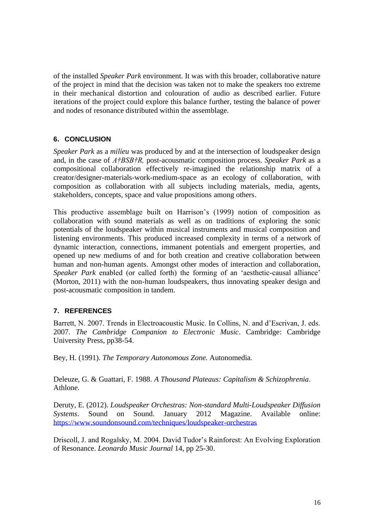of the installed *Speaker Park* environment. It was with this broader, collaborative nature of the project in mind that the decision was taken not to make the speakers too extreme in their mechanical distortion and colouration of audio as described earlier. Future iterations of the project could explore this balance further, testing the balance of power and nodes of resonance distributed within the assemblage.

## **6. CONCLUSION**

*Speaker Park* as a *milieu* was produced by and at the intersection of loudspeaker design and, in the case of *A†BSB†R,* post-acousmatic composition process*. Speaker Park* as a compositional collaboration effectively re-imagined the relationship matrix of a creator/designer-materials-work-medium-space as an ecology of collaboration, with composition as collaboration with all subjects including materials, media, agents, stakeholders, concepts, space and value propositions among others.

This productive assemblage built on Harrison's (1999) notion of composition as collaboration with sound materials as well as on traditions of exploring the sonic potentials of the loudspeaker within musical instruments and musical composition and listening environments. This produced increased complexity in terms of a network of dynamic interaction, connections, immanent potentials and emergent properties, and opened up new mediums of and for both creation and creative collaboration between human and non-human agents. Amongst other modes of interaction and collaboration, *Speaker Park* enabled (or called forth) the forming of an 'aesthetic-causal alliance' (Morton, 2011) with the non-human loudspeakers, thus innovating speaker design and post-acousmatic composition in tandem.

## **7. REFERENCES**

Barrett, N. 2007. Trends in Electroacoustic Music. In Collins, N. and d'Escrivan, J. eds. 2007. *The Cambridge Companion to Electronic Music*. Cambridge: Cambridge University Press, pp38-54.

Bey, H. (1991). *The Temporary Autonomous Zone.* Autonomedia.

Deleuze, G. & Guattari, F. 1988. *A Thousand Plateaus: Capitalism & Schizophrenia*. Athlone.

Deruty, E. (2012). *Loudspeaker Orchestras: Non-standard Multi-Loudspeaker Diffusion Systems*. Sound on Sound. January 2012 Magazine. Available online: <https://www.soundonsound.com/techniques/loudspeaker-orchestras>

Driscoll, J. and Rogalsky, M. 2004. David Tudor's Rainforest: An Evolving Exploration of Resonance. *Leonardo Music Journal* 14, pp 25-30.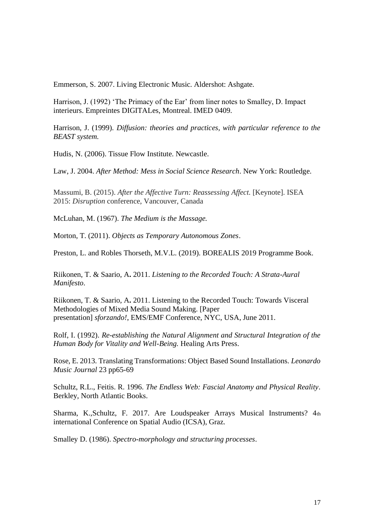Emmerson, S. 2007. Living Electronic Music. Aldershot: Ashgate.

Harrison, J. (1992) 'The Primacy of the Ear' from liner notes to Smalley, D. Impact interieurs. Empreintes DIGITALes, Montreal. IMED 0409.

Harrison, J. (1999). *Diffusion: theories and practices, with particular reference to the BEAST system.*

Hudis, N. (2006). Tissue Flow Institute. Newcastle.

Law, J. 2004. *After Method: Mess in Social Science Research*. New York: Routledge.

Massumi, B. (2015). *After the Affective Turn: Reassessing Affect.* [Keynote]. ISEA 2015: *Disruption* conference, Vancouver, Canada

McLuhan, M. (1967). *The Medium is the Massage.*

Morton, T. (2011). *Objects as Temporary Autonomous Zones*.

Preston, L. and Robles Thorseth, M.V.L. (2019). BOREALIS 2019 Programme Book.

Riikonen, T. & Saario, A**.** 2011. *Listening to the Recorded Touch: A Strata-Aural Manifesto*.

Riikonen, T. & Saario, A**.** 2011. Listening to the Recorded Touch: Towards Visceral Methodologies of Mixed Media Sound Making. [Paper presentation] *sforzando!*, EMS/EMF Conference, NYC, USA, June 2011.

Rolf, I. (1992). *Re-establishing the Natural Alignment and Structural Integration of the Human Body for Vitality and Well-Being.* Healing Arts Press.

Rose, E. 2013. Translating Transformations: Object Based Sound Installations. *Leonardo Music Journal* 23 pp65-69

Schultz, R.L., Feitis. R. 1996. *The Endless Web: Fascial Anatomy and Physical Reality*. Berkley, North Atlantic Books.

Sharma, K.,Schultz, F. 2017. Are Loudspeaker Arrays Musical Instruments? 4th international Conference on Spatial Audio (ICSA), Graz.

Smalley D. (1986). *Spectro-morphology and structuring processes*.